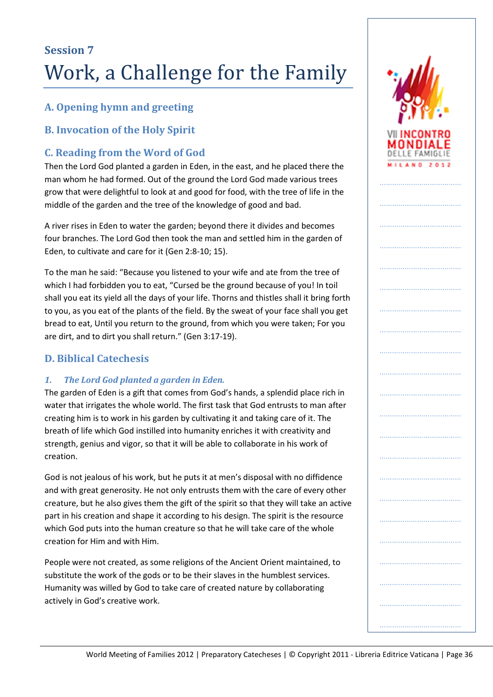## **A. Opening hymn and greeting**

### **B. Invocation of the Holy Spirit**

### **C. Reading from the Word of God**

Then the Lord God planted a garden in Eden, in the east, and he placed there the man whom he had formed. Out of the ground the Lord God made various trees grow that were delightful to look at and good for food, with the tree of life in the middle of the garden and the tree of the knowledge of good and bad.

A river rises in Eden to water the garden; beyond there it divides and becomes four branches. The Lord God then took the man and settled him in the garden of Eden, to cultivate and care for it (Gen 2:8-10; 15).

To the man he said: "Because you listened to your wife and ate from the tree of which I had forbidden you to eat, "Cursed be the ground because of you! In toil shall you eat its yield all the days of your life. Thorns and thistles shall it bring forth to you, as you eat of the plants of the field. By the sweat of your face shall you get bread to eat, Until you return to the ground, from which you were taken; For you are dirt, and to dirt you shall return." (Gen 3:17-19).

### **D. Biblical Catechesis**

#### *1. The Lord God planted a garden in Eden.*

The garden of Eden is a gift that comes from God's hands, a splendid place rich in water that irrigates the whole world. The first task that God entrusts to man after creating him is to work in his garden by cultivating it and taking care of it. The breath of life which God instilled into humanity enriches it with creativity and strength, genius and vigor, so that it will be able to collaborate in his work of creation.

God is not jealous of his work, but he puts it at men's disposal with no diffidence and with great generosity. He not only entrusts them with the care of every other creature, but he also gives them the gift of the spirit so that they will take an active part in his creation and shape it according to his design. The spirit is the resource which God puts into the human creature so that he will take care of the whole creation for Him and with Him.

People were not created, as some religions of the Ancient Orient maintained, to substitute the work of the gods or to be their slaves in the humblest services. Humanity was willed by God to take care of created nature by collaborating actively in God's creative work.

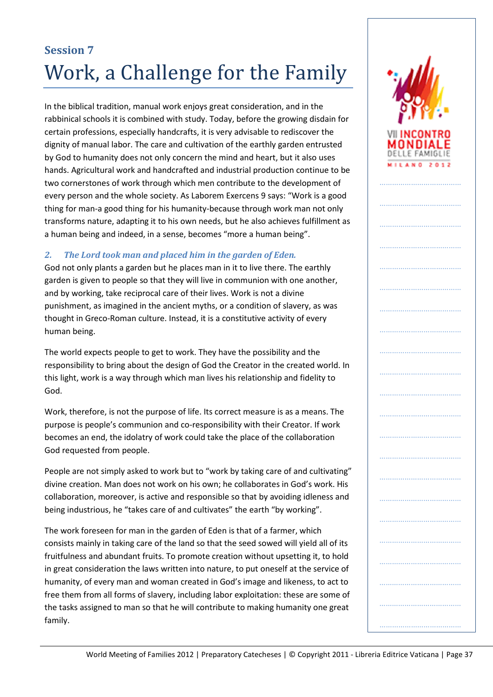In the biblical tradition, manual work enjoys great consideration, and in the rabbinical schools it is combined with study. Today, before the growing disdain for certain professions, especially handcrafts, it is very advisable to rediscover the dignity of manual labor. The care and cultivation of the earthly garden entrusted by God to humanity does not only concern the mind and heart, but it also uses hands. Agricultural work and handcrafted and industrial production continue to be two cornerstones of work through which men contribute to the development of every person and the whole society. As Laborem Exercens 9 says: "Work is a good thing for man-a good thing for his humanity-because through work man not only transforms nature, adapting it to his own needs, but he also achieves fulfillment as a human being and indeed, in a sense, becomes "more a human being".

#### *2. The Lord took man and placed him in the garden of Eden.*

God not only plants a garden but he places man in it to live there. The earthly garden is given to people so that they will live in communion with one another, and by working, take reciprocal care of their lives. Work is not a divine punishment, as imagined in the ancient myths, or a condition of slavery, as was thought in Greco-Roman culture. Instead, it is a constitutive activity of every human being.

The world expects people to get to work. They have the possibility and the responsibility to bring about the design of God the Creator in the created world. In this light, work is a way through which man lives his relationship and fidelity to God.

Work, therefore, is not the purpose of life. Its correct measure is as a means. The purpose is people's communion and co-responsibility with their Creator. If work becomes an end, the idolatry of work could take the place of the collaboration God requested from people.

People are not simply asked to work but to "work by taking care of and cultivating" divine creation. Man does not work on his own; he collaborates in God's work. His collaboration, moreover, is active and responsible so that by avoiding idleness and being industrious, he "takes care of and cultivates" the earth "by working".

The work foreseen for man in the garden of Eden is that of a farmer, which consists mainly in taking care of the land so that the seed sowed will yield all of its fruitfulness and abundant fruits. To promote creation without upsetting it, to hold in great consideration the laws written into nature, to put oneself at the service of humanity, of every man and woman created in God's image and likeness, to act to free them from all forms of slavery, including labor exploitation: these are some of the tasks assigned to man so that he will contribute to making humanity one great family.

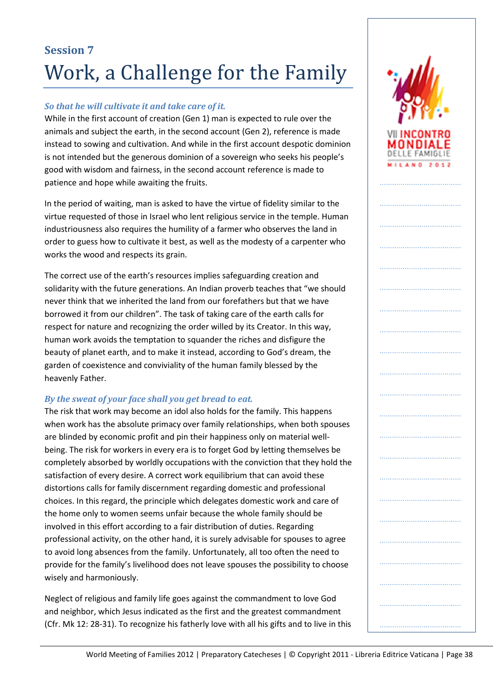#### *So that he will cultivate it and take care of it.*

While in the first account of creation (Gen 1) man is expected to rule over the animals and subject the earth, in the second account (Gen 2), reference is made instead to sowing and cultivation. And while in the first account despotic dominion is not intended but the generous dominion of a sovereign who seeks his people's good with wisdom and fairness, in the second account reference is made to patience and hope while awaiting the fruits.

In the period of waiting, man is asked to have the virtue of fidelity similar to the virtue requested of those in Israel who lent religious service in the temple. Human industriousness also requires the humility of a farmer who observes the land in order to guess how to cultivate it best, as well as the modesty of a carpenter who works the wood and respects its grain.

The correct use of the earth's resources implies safeguarding creation and solidarity with the future generations. An Indian proverb teaches that "we should never think that we inherited the land from our forefathers but that we have borrowed it from our children". The task of taking care of the earth calls for respect for nature and recognizing the order willed by its Creator. In this way, human work avoids the temptation to squander the riches and disfigure the beauty of planet earth, and to make it instead, according to God's dream, the garden of coexistence and conviviality of the human family blessed by the heavenly Father.

#### *By the sweat of your face shall you get bread to eat.*

The risk that work may become an idol also holds for the family. This happens when work has the absolute primacy over family relationships, when both spouses are blinded by economic profit and pin their happiness only on material wellbeing. The risk for workers in every era is to forget God by letting themselves be completely absorbed by worldly occupations with the conviction that they hold the satisfaction of every desire. A correct work equilibrium that can avoid these distortions calls for family discernment regarding domestic and professional choices. In this regard, the principle which delegates domestic work and care of the home only to women seems unfair because the whole family should be involved in this effort according to a fair distribution of duties. Regarding professional activity, on the other hand, it is surely advisable for spouses to agree to avoid long absences from the family. Unfortunately, all too often the need to provide for the family's livelihood does not leave spouses the possibility to choose wisely and harmoniously.

Neglect of religious and family life goes against the commandment to love God and neighbor, which Jesus indicated as the first and the greatest commandment (Cfr. Mk 12: 28-31). To recognize his fatherly love with all his gifts and to live in this

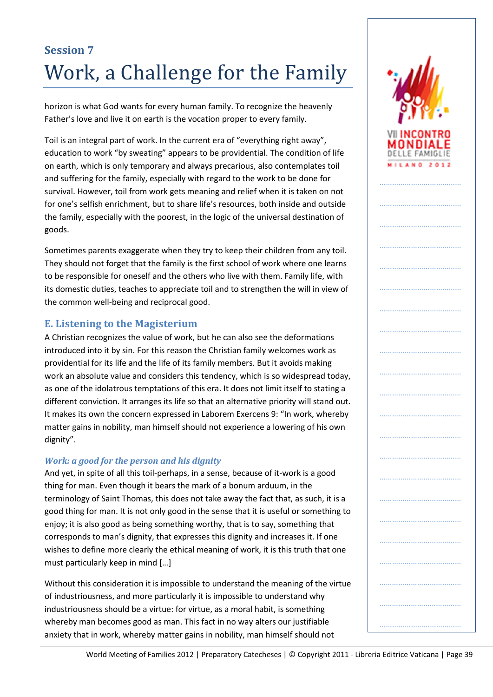horizon is what God wants for every human family. To recognize the heavenly Father's love and live it on earth is the vocation proper to every family.

Toil is an integral part of work. In the current era of "everything right away", education to work "by sweating" appears to be providential. The condition of life on earth, which is only temporary and always precarious, also contemplates toil and suffering for the family, especially with regard to the work to be done for survival. However, toil from work gets meaning and relief when it is taken on not for one's selfish enrichment, but to share life's resources, both inside and outside the family, especially with the poorest, in the logic of the universal destination of goods.

Sometimes parents exaggerate when they try to keep their children from any toil. They should not forget that the family is the first school of work where one learns to be responsible for oneself and the others who live with them. Family life, with its domestic duties, teaches to appreciate toil and to strengthen the will in view of the common well-being and reciprocal good.

## **E. Listening to the Magisterium**

A Christian recognizes the value of work, but he can also see the deformations introduced into it by sin. For this reason the Christian family welcomes work as providential for its life and the life of its family members. But it avoids making work an absolute value and considers this tendency, which is so widespread today, as one of the idolatrous temptations of this era. It does not limit itself to stating a different conviction. It arranges its life so that an alternative priority will stand out. It makes its own the concern expressed in Laborem Exercens 9: "In work, whereby matter gains in nobility, man himself should not experience a lowering of his own dignity".

### *Work: a good for the person and his dignity*

And yet, in spite of all this toil-perhaps, in a sense, because of it-work is a good thing for man. Even though it bears the mark of a bonum arduum, in the terminology of Saint Thomas, this does not take away the fact that, as such, it is a good thing for man. It is not only good in the sense that it is useful or something to enjoy; it is also good as being something worthy, that is to say, something that corresponds to man's dignity, that expresses this dignity and increases it. If one wishes to define more clearly the ethical meaning of work, it is this truth that one must particularly keep in mind […]

Without this consideration it is impossible to understand the meaning of the virtue of industriousness, and more particularly it is impossible to understand why industriousness should be a virtue: for virtue, as a moral habit, is something whereby man becomes good as man. This fact in no way alters our justifiable anxiety that in work, whereby matter gains in nobility, man himself should not